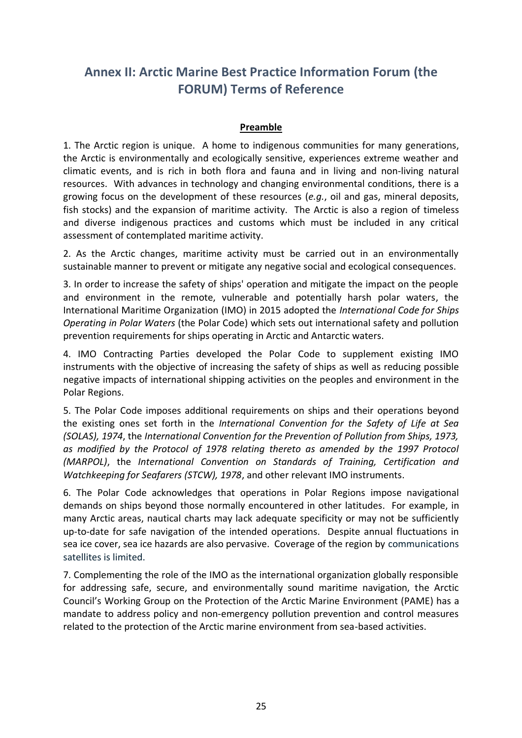# **Annex II: Arctic Marine Best Practice Information Forum (the FORUM) Terms of Reference**

## **Preamble**

1. The Arctic region is unique. A home to indigenous communities for many generations, the Arctic is environmentally and ecologically sensitive, experiences extreme weather and climatic events, and is rich in both flora and fauna and in living and non-living natural resources. With advances in technology and changing environmental conditions, there is a growing focus on the development of these resources (*e.g.*, oil and gas, mineral deposits, fish stocks) and the expansion of maritime activity. The Arctic is also a region of timeless and diverse indigenous practices and customs which must be included in any critical assessment of contemplated maritime activity.

2. As the Arctic changes, maritime activity must be carried out in an environmentally sustainable manner to prevent or mitigate any negative social and ecological consequences.

3. In order to increase the safety of ships' operation and mitigate the impact on the people and environment in the remote, vulnerable and potentially harsh polar waters, the International Maritime Organization (IMO) in 2015 adopted the *International Code for Ships Operating in Polar Waters* (the Polar Code) which sets out international safety and pollution prevention requirements for ships operating in Arctic and Antarctic waters.

4. IMO Contracting Parties developed the Polar Code to supplement existing IMO instruments with the objective of increasing the safety of ships as well as reducing possible negative impacts of international shipping activities on the peoples and environment in the Polar Regions.

5. The Polar Code imposes additional requirements on ships and their operations beyond the existing ones set forth in the *International Convention for the Safety of Life at Sea (SOLAS), 1974*, the *International Convention for the Prevention of Pollution from Ships, 1973, as modified by the Protocol of 1978 relating thereto as amended by the 1997 Protocol (MARPOL)*, the *International Convention on Standards of Training, Certification and Watchkeeping for Seafarers (STCW), 1978*, and other relevant IMO instruments.

6. The Polar Code acknowledges that operations in Polar Regions impose navigational demands on ships beyond those normally encountered in other latitudes. For example, in many Arctic areas, nautical charts may lack adequate specificity or may not be sufficiently up-to-date for safe navigation of the intended operations. Despite annual fluctuations in sea ice cover, sea ice hazards are also pervasive. Coverage of the region by communications satellites is limited.

7. Complementing the role of the IMO as the international organization globally responsible for addressing safe, secure, and environmentally sound maritime navigation, the Arctic Council's Working Group on the Protection of the Arctic Marine Environment (PAME) has a mandate to address policy and non-emergency pollution prevention and control measures related to the protection of the Arctic marine environment from sea-based activities.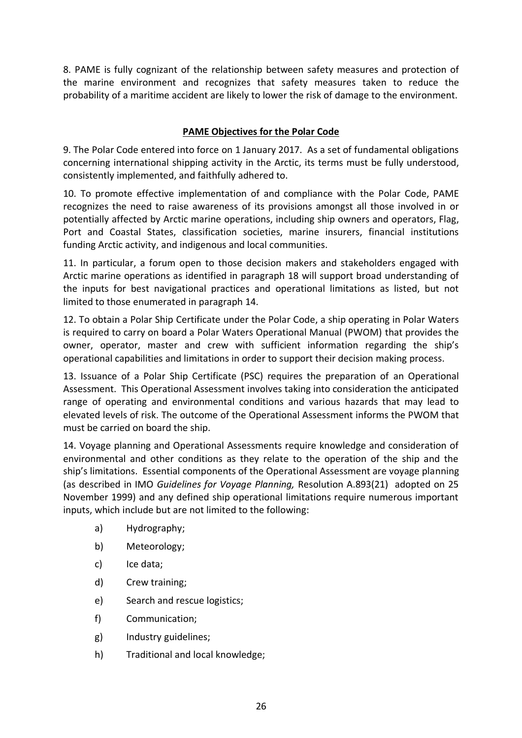8. PAME is fully cognizant of the relationship between safety measures and protection of the marine environment and recognizes that safety measures taken to reduce the probability of a maritime accident are likely to lower the risk of damage to the environment.

# **PAME Objectives for the Polar Code**

9. The Polar Code entered into force on 1 January 2017. As a set of fundamental obligations concerning international shipping activity in the Arctic, its terms must be fully understood, consistently implemented, and faithfully adhered to.

10. To promote effective implementation of and compliance with the Polar Code, PAME recognizes the need to raise awareness of its provisions amongst all those involved in or potentially affected by Arctic marine operations, including ship owners and operators, Flag, Port and Coastal States, classification societies, marine insurers, financial institutions funding Arctic activity, and indigenous and local communities.

11. In particular, a forum open to those decision makers and stakeholders engaged with Arctic marine operations as identified in paragraph 18 will support broad understanding of the inputs for best navigational practices and operational limitations as listed, but not limited to those enumerated in paragraph 14.

12. To obtain a Polar Ship Certificate under the Polar Code, a ship operating in Polar Waters is required to carry on board a Polar Waters Operational Manual (PWOM) that provides the owner, operator, master and crew with sufficient information regarding the ship's operational capabilities and limitations in order to support their decision making process.

13. Issuance of a Polar Ship Certificate (PSC) requires the preparation of an Operational Assessment. This Operational Assessment involves taking into consideration the anticipated range of operating and environmental conditions and various hazards that may lead to elevated levels of risk. The outcome of the Operational Assessment informs the PWOM that must be carried on board the ship.

14. Voyage planning and Operational Assessments require knowledge and consideration of environmental and other conditions as they relate to the operation of the ship and the ship's limitations. Essential components of the Operational Assessment are voyage planning (as described in IMO *Guidelines for Voyage Planning,* Resolution A.893(21) adopted on 25 November 1999) and any defined ship operational limitations require numerous important inputs, which include but are not limited to the following:

- a) Hydrography;
- b) Meteorology;
- c) Ice data;
- d) Crew training;
- e) Search and rescue logistics;
- f) Communication;
- g) Industry guidelines;
- h) Traditional and local knowledge;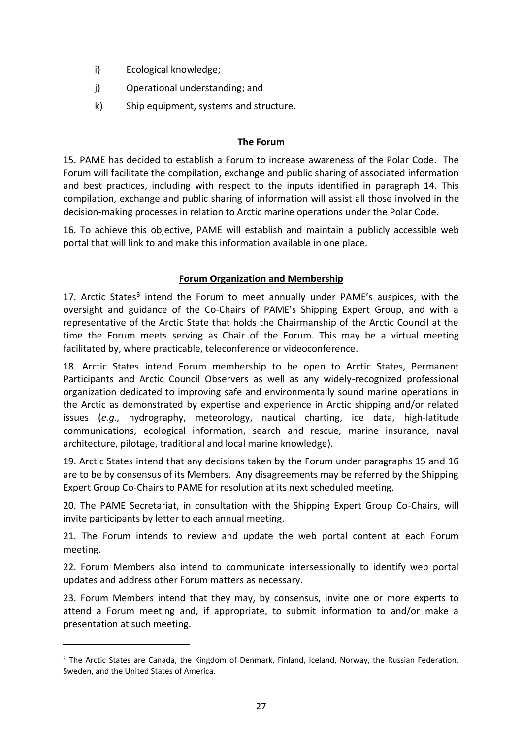- i) Ecological knowledge;
- j) Operational understanding; and
- k) Ship equipment, systems and structure.

## **The Forum**

15. PAME has decided to establish a Forum to increase awareness of the Polar Code. The Forum will facilitate the compilation, exchange and public sharing of associated information and best practices, including with respect to the inputs identified in paragraph 14. This compilation, exchange and public sharing of information will assist all those involved in the decision-making processes in relation to Arctic marine operations under the Polar Code.

16. To achieve this objective, PAME will establish and maintain a publicly accessible web portal that will link to and make this information available in one place.

#### **Forum Organization and Membership**

17. Arctic States<sup>3</sup> intend the Forum to meet annually under PAME's auspices, with the oversight and guidance of the Co-Chairs of PAME's Shipping Expert Group, and with a representative of the Arctic State that holds the Chairmanship of the Arctic Council at the time the Forum meets serving as Chair of the Forum. This may be a virtual meeting facilitated by, where practicable, teleconference or videoconference.

18. Arctic States intend Forum membership to be open to Arctic States, Permanent Participants and Arctic Council Observers as well as any widely-recognized professional organization dedicated to improving safe and environmentally sound marine operations in the Arctic as demonstrated by expertise and experience in Arctic shipping and/or related issues (*e.g.,* hydrography, meteorology, nautical charting, ice data, high-latitude communications, ecological information, search and rescue, marine insurance, naval architecture, pilotage, traditional and local marine knowledge).

19. Arctic States intend that any decisions taken by the Forum under paragraphs 15 and 16 are to be by consensus of its Members. Any disagreements may be referred by the Shipping Expert Group Co-Chairs to PAME for resolution at its next scheduled meeting.

20. The PAME Secretariat, in consultation with the Shipping Expert Group Co-Chairs, will invite participants by letter to each annual meeting.

21. The Forum intends to review and update the web portal content at each Forum meeting.

22. Forum Members also intend to communicate intersessionally to identify web portal updates and address other Forum matters as necessary.

23. Forum Members intend that they may, by consensus, invite one or more experts to attend a Forum meeting and, if appropriate, to submit information to and/or make a presentation at such meeting.

 $\overline{a}$ 

<sup>&</sup>lt;sup>3</sup> The Arctic States are Canada, the Kingdom of Denmark, Finland, Iceland, Norway, the Russian Federation, Sweden, and the United States of America.